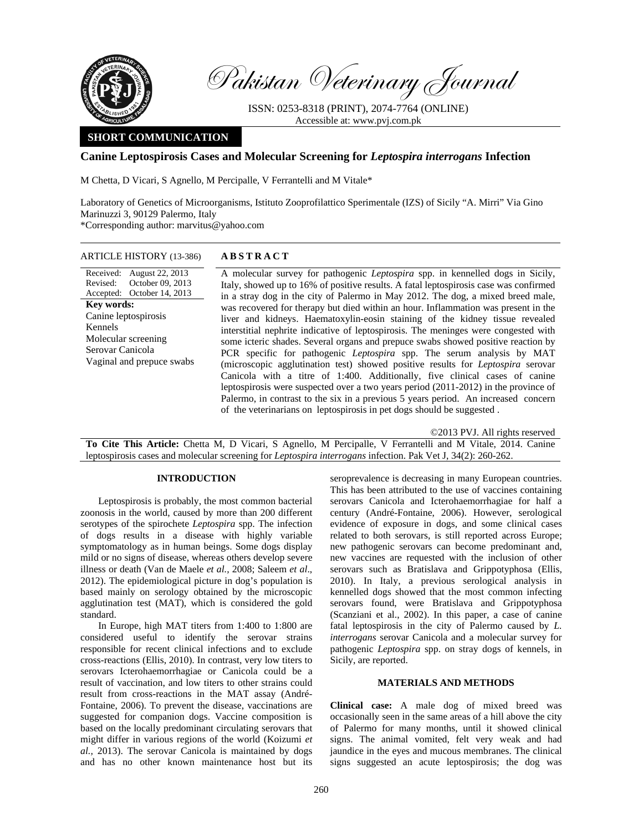

Pakistan Veterinary Journal

ISSN: 0253-8318 (PRINT), 2074-7764 (ONLINE) Accessible at: www.pvj.com.pk

# **SHORT COMMUNICATION**

# **Canine Leptospirosis Cases and Molecular Screening for** *Leptospira interrogans* **Infection**

M Chetta, D Vicari, S Agnello, M Percipalle, V Ferrantelli and M Vitale\*

Laboratory of Genetics of Microorganisms, Istituto Zooprofilattico Sperimentale (IZS) of Sicily "A. Mirri" Via Gino Marinuzzi 3, 90129 Palermo, Italy \*Corresponding author: marvitus@yahoo.com

| <b>ARTICLE HISTORY (13-386)</b>                                                                                                                                                                                  | <b>ABSTRACT</b>                                                                                                                                                                                                                                                                                                                                                                                                                                                                                                                                                                                                                                                                                                                                                                                                                                                                                                                                                                                                                                                                                                                     |
|------------------------------------------------------------------------------------------------------------------------------------------------------------------------------------------------------------------|-------------------------------------------------------------------------------------------------------------------------------------------------------------------------------------------------------------------------------------------------------------------------------------------------------------------------------------------------------------------------------------------------------------------------------------------------------------------------------------------------------------------------------------------------------------------------------------------------------------------------------------------------------------------------------------------------------------------------------------------------------------------------------------------------------------------------------------------------------------------------------------------------------------------------------------------------------------------------------------------------------------------------------------------------------------------------------------------------------------------------------------|
| Received: August 22, 2013<br>October 09, 2013<br>Revised:<br>Accepted: October 14, 2013<br>Key words:<br>Canine leptospirosis<br>Kennels<br>Molecular screening<br>Serovar Canicola<br>Vaginal and prepuce swabs | A molecular survey for pathogenic <i>Leptospira</i> spp. in kennelled dogs in Sicily,<br>Italy, showed up to 16% of positive results. A fatal leptospirosis case was confirmed<br>in a stray dog in the city of Palermo in May 2012. The dog, a mixed breed male,<br>was recovered for therapy but died within an hour. Inflammation was present in the<br>liver and kidneys. Haematoxylin-eosin staining of the kidney tissue revealed<br>interstitial nephrite indicative of leptospirosis. The meninges were congested with<br>some icteric shades. Several organs and prepuce swabs showed positive reaction by<br>PCR specific for pathogenic <i>Leptospira</i> spp. The serum analysis by MAT<br>(microscopic agglutination test) showed positive results for <i>Leptospira</i> serovar<br>Canicola with a titre of 1:400. Additionally, five clinical cases of canine<br>leptospirosis were suspected over a two years period (2011-2012) in the province of<br>Palermo, in contrast to the six in a previous 5 years period. An increased concern<br>of the veterinarians on leptospirosis in pet dogs should be suggested. |
|                                                                                                                                                                                                                  |                                                                                                                                                                                                                                                                                                                                                                                                                                                                                                                                                                                                                                                                                                                                                                                                                                                                                                                                                                                                                                                                                                                                     |

©2013 PVJ. All rights reserved **To Cite This Article:** Chetta M, D Vicari, S Agnello, M Percipalle, V Ferrantelli and M Vitale, 2014. Canine leptospirosis cases and molecular screening for *Leptospira interrogans* infection. Pak Vet J, 34(2): 260-262.

# **INTRODUCTION**

Leptospirosis is probably, the most common bacterial zoonosis in the world, caused by more than 200 different serotypes of the spirochete *Leptospira* spp. The infection of dogs results in a disease with highly variable symptomatology as in human beings. Some dogs display mild or no signs of disease, whereas others develop severe illness or death (Van de Maele *et al.,* 2008; Saleem *et al*., 2012). The epidemiological picture in dog's population is based mainly on serology obtained by the microscopic agglutination test (MAT), which is considered the gold standard.

In Europe, high MAT titers from 1:400 to 1:800 are considered useful to identify the serovar strains responsible for recent clinical infections and to exclude cross-reactions (Ellis, 2010). In contrast, very low titers to serovars Icterohaemorrhagiae or Canicola could be a result of vaccination, and low titers to other strains could result from cross-reactions in the MAT assay (André-Fontaine, 2006). To prevent the disease, vaccinations are suggested for companion dogs. Vaccine composition is based on the locally predominant circulating serovars that might differ in various regions of the world (Koizumi *et al.,* 2013). The serovar Canicola is maintained by dogs and has no other known maintenance host but its

seroprevalence is decreasing in many European countries. This has been attributed to the use of vaccines containing serovars Canicola and Icterohaemorrhagiae for half a century (André-Fontaine, 2006). However, serological evidence of exposure in dogs, and some clinical cases related to both serovars, is still reported across Europe; new pathogenic serovars can become predominant and, new vaccines are requested with the inclusion of other serovars such as Bratislava and Grippotyphosa (Ellis, 2010). In Italy, a previous serological analysis in kennelled dogs showed that the most common infecting serovars found, were Bratislava and Grippotyphosa (Scanziani et al., 2002). In this paper, a case of canine fatal leptospirosis in the city of Palermo caused by *L. interrogans* serovar Canicola and a molecular survey for pathogenic *Leptospira* spp. on stray dogs of kennels, in Sicily, are reported.

## **MATERIALS AND METHODS**

**Clinical case:** A male dog of mixed breed was occasionally seen in the same areas of a hill above the city of Palermo for many months, until it showed clinical signs. The animal vomited, felt very weak and had jaundice in the eyes and mucous membranes. The clinical signs suggested an acute leptospirosis; the dog was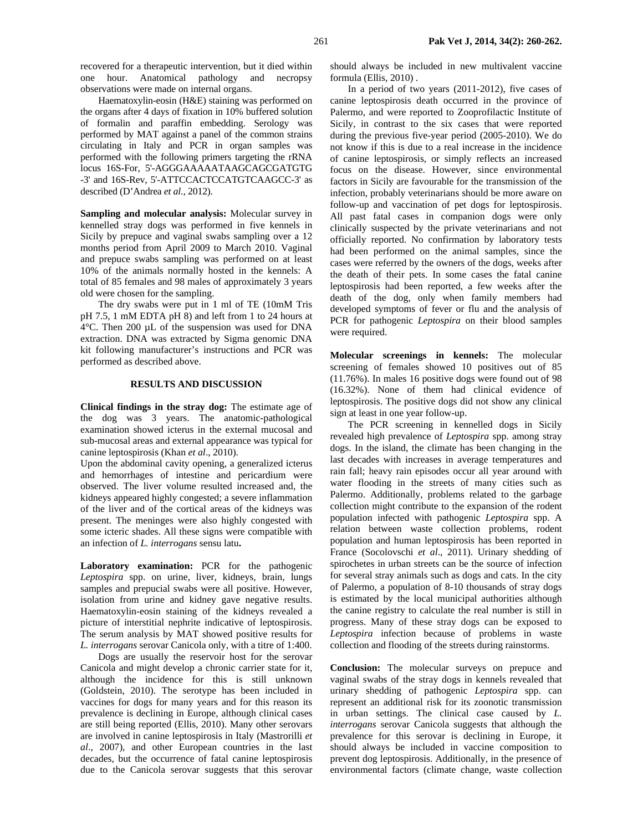recovered for a therapeutic intervention, but it died within one hour. Anatomical pathology and necropsy observations were made on internal organs.

Haematoxylin-eosin (H&E) staining was performed on the organs after 4 days of fixation in 10% buffered solution of formalin and paraffin embedding. Serology was performed by MAT against a panel of the common strains circulating in Italy and PCR in organ samples was performed with the following primers targeting the rRNA locus 16S-For, 5'-AGGGAAAAATAAGCAGCGATGTG -3' and 16S-Rev, 5'-ATTCCACTCCATGTCAAGCC-3' as described (D'Andrea *et al.,* 2012).

**Sampling and molecular analysis:** Molecular survey in kennelled stray dogs was performed in five kennels in Sicily by prepuce and vaginal swabs sampling over a 12 months period from April 2009 to March 2010. Vaginal and prepuce swabs sampling was performed on at least 10% of the animals normally hosted in the kennels: A total of 85 females and 98 males of approximately 3 years old were chosen for the sampling.

The dry swabs were put in 1 ml of TE (10mM Tris pH 7.5, 1 mM EDTA pH 8) and left from 1 to 24 hours at 4°C. Then 200 µL of the suspension was used for DNA extraction. DNA was extracted by Sigma genomic DNA kit following manufacturer's instructions and PCR was performed as described above.

# **RESULTS AND DISCUSSION**

**Clinical findings in the stray dog:** The estimate age of the dog was 3 years. The anatomic-pathological examination showed icterus in the external mucosal and sub-mucosal areas and external appearance was typical for canine leptospirosis (Khan *et al*., 2010).

Upon the abdominal cavity opening, a generalized icterus and hemorrhages of intestine and pericardium were observed. The liver volume resulted increased and, the kidneys appeared highly congested; a severe inflammation of the liver and of the cortical areas of the kidneys was present. The meninges were also highly congested with some icteric shades. All these signs were compatible with an infection of *L. interrogans* sensu latu**.** 

**Laboratory examination:** PCR for the pathogenic *Leptospira* spp. on urine, liver, kidneys, brain, lungs samples and prepucial swabs were all positive. However, isolation from urine and kidney gave negative results. Haematoxylin-eosin staining of the kidneys revealed a picture of interstitial nephrite indicative of leptospirosis. The serum analysis by MAT showed positive results for *L. interrogans* serovar Canicola only, with a titre of 1:400.

Dogs are usually the reservoir host for the serovar Canicola and might develop a chronic carrier state for it, although the incidence for this is still unknown (Goldstein, 2010). The serotype has been included in vaccines for dogs for many years and for this reason its prevalence is declining in Europe, although clinical cases are still being reported (Ellis, 2010). Many other serovars are involved in canine leptospirosis in Italy (Mastrorilli *et al*., 2007), and other European countries in the last decades, but the occurrence of fatal canine leptospirosis due to the Canicola serovar suggests that this serovar

should always be included in new multivalent vaccine formula (Ellis, 2010) .

In a period of two years (2011-2012), five cases of canine leptospirosis death occurred in the province of Palermo, and were reported to Zooprofilactic Institute of Sicily, in contrast to the six cases that were reported during the previous five-year period (2005-2010). We do not know if this is due to a real increase in the incidence of canine leptospirosis, or simply reflects an increased focus on the disease. However, since environmental factors in Sicily are favourable for the transmission of the infection, probably veterinarians should be more aware on follow-up and vaccination of pet dogs for leptospirosis. All past fatal cases in companion dogs were only clinically suspected by the private veterinarians and not officially reported. No confirmation by laboratory tests had been performed on the animal samples, since the cases were referred by the owners of the dogs, weeks after the death of their pets. In some cases the fatal canine leptospirosis had been reported, a few weeks after the death of the dog, only when family members had developed symptoms of fever or flu and the analysis of PCR for pathogenic *Leptospira* on their blood samples were required.

**Molecular screenings in kennels:** The molecular screening of females showed 10 positives out of 85 (11.76%). In males 16 positive dogs were found out of 98 (16.32%). None of them had clinical evidence of leptospirosis. The positive dogs did not show any clinical sign at least in one year follow-up.

The PCR screening in kennelled dogs in Sicily revealed high prevalence of *Leptospira* spp. among stray dogs. In the island, the climate has been changing in the last decades with increases in average temperatures and rain fall; heavy rain episodes occur all year around with water flooding in the streets of many cities such as Palermo. Additionally, problems related to the garbage collection might contribute to the expansion of the rodent population infected with pathogenic *Leptospira* spp. A relation between waste collection problems, rodent population and human leptospirosis has been reported in France (Socolovschi *et al*., 2011). Urinary shedding of spirochetes in urban streets can be the source of infection for several stray animals such as dogs and cats. In the city of Palermo, a population of 8-10 thousands of stray dogs is estimated by the local municipal authorities although the canine registry to calculate the real number is still in progress. Many of these stray dogs can be exposed to *Leptospira* infection because of problems in waste collection and flooding of the streets during rainstorms.

**Conclusion:** The molecular surveys on prepuce and vaginal swabs of the stray dogs in kennels revealed that urinary shedding of pathogenic *Leptospira* spp. can represent an additional risk for its zoonotic transmission in urban settings. The clinical case caused by *L. interrogans* serovar Canicola suggests that although the prevalence for this serovar is declining in Europe, it should always be included in vaccine composition to prevent dog leptospirosis. Additionally, in the presence of environmental factors (climate change, waste collection